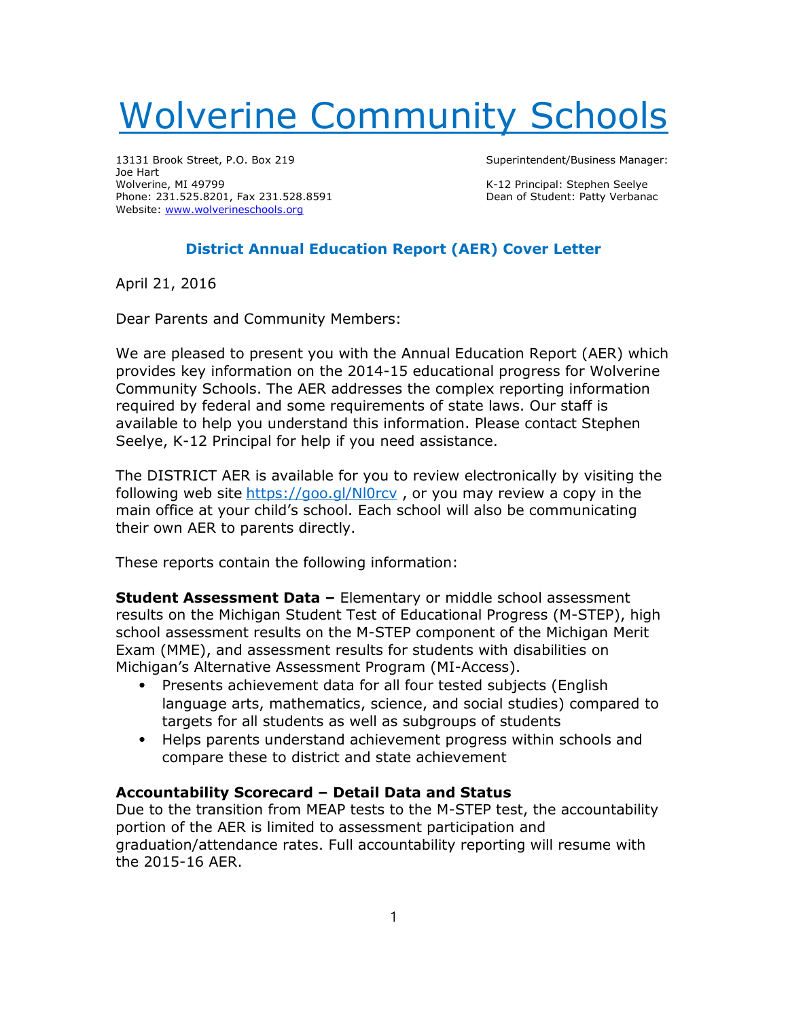# Wolverine Community Schools

13131 Brook Street, P.O. Box 219 Superintendent/Business Manager: Joe Hart Wolverine, MI 49799<br>
Phone: 231.525.8201, Fax 231.528.8591 Channel Student: Patty Verbanac Phone: 231.525.8201, Fax 231.528.8591 Website: www.wolverineschools.org

## District Annual Education Report (AER) Cover Letter

April 21, 2016

Dear Parents and Community Members:

We are pleased to present you with the Annual Education Report (AER) which provides key information on the 2014-15 educational progress for Wolverine Community Schools. The AER addresses the complex reporting information required by federal and some requirements of state laws. Our staff is available to help you understand this information. Please contact Stephen Seelye, K-12 Principal for help if you need assistance.

The DISTRICT AER is available for you to review electronically by visiting the following web site https://goo.gl/Nl0rcv, or you may review a copy in the main office at your child's school. Each school will also be communicating their own AER to parents directly.

These reports contain the following information:

Student Assessment Data - Elementary or middle school assessment results on the Michigan Student Test of Educational Progress (M-STEP), high school assessment results on the M-STEP component of the Michigan Merit Exam (MME), and assessment results for students with disabilities on Michigan's Alternative Assessment Program (MI-Access).

- ⦁ Presents achievement data for all four tested subjects (English language arts, mathematics, science, and social studies) compared to targets for all students as well as subgroups of students
- ⦁ Helps parents understand achievement progress within schools and compare these to district and state achievement

## Accountability Scorecard – Detail Data and Status

Due to the transition from MEAP tests to the M-STEP test, the accountability portion of the AER is limited to assessment participation and graduation/attendance rates. Full accountability reporting will resume with the 2015-16 AER.